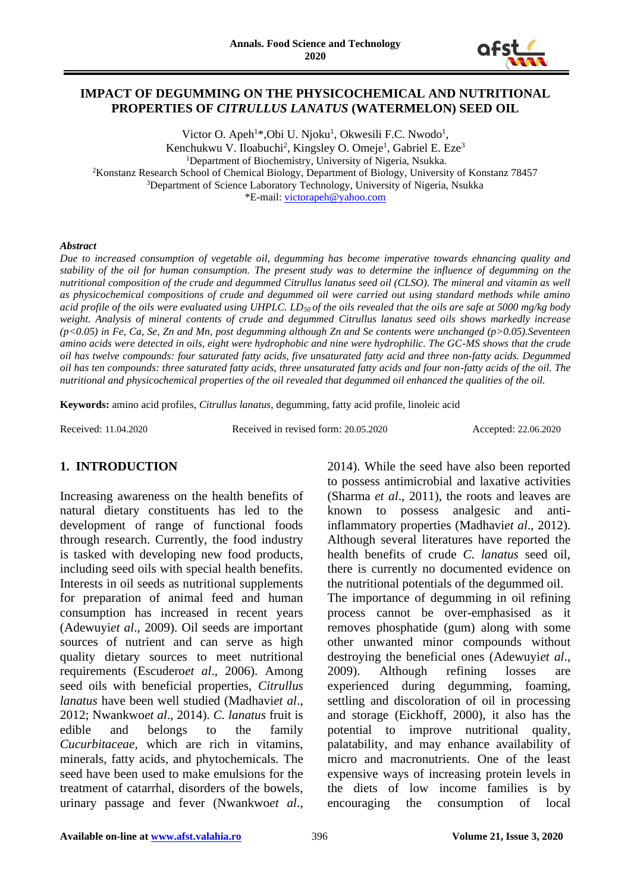

### **IMPACT OF DEGUMMING ON THE PHYSICOCHEMICAL AND NUTRITIONAL PROPERTIES OF** *CITRULLUS LANATUS* **(WATERMELON) SEED OIL**

Victor O. Apeh<sup>1\*</sup>, Obi U. Njoku<sup>1</sup>, Okwesili F.C. Nwodo<sup>1</sup>, Kenchukwu V. Iloabuchi<sup>2</sup>, Kingsley O. Omeje<sup>1</sup>, Gabriel E. Eze<sup>3</sup> <sup>1</sup>Department of Biochemistry, University of Nigeria, Nsukka. <sup>2</sup>Konstanz Research School of Chemical Biology, Department of Biology, University of Konstanz 78457 <sup>3</sup>Department of Science Laboratory Technology, University of Nigeria, Nsukka \*E-mail[: victorapeh@yahoo.com](mailto:victorapeh@yahoo.com)

#### *Abstract*

*Due to increased consumption of vegetable oil, degumming has become imperative towards ehnancing quality and stability of the oil for human consumption. The present study was to determine the influence of degumming on the nutritional composition of the crude and degummed Citrullus lanatus seed oil (CLSO). The mineral and vitamin as well as physicochemical compositions of crude and degummed oil were carried out using standard methods while amino acid profile of the oils were evaluated using UHPLC. LD50 of the oils revealed that the oils are safe at 5000 mg/kg body weight. Analysis of mineral contents of crude and degummed Citrullus lanatus seed oils shows markedly increase (p<0.05) in Fe, Ca, Se, Zn and Mn, post degumming although Zn and Se contents were unchanged (p>0.05).Seventeen amino acids were detected in oils, eight were hydrophobic and nine were hydrophilic. The GC-MS shows that the crude oil has twelve compounds: four saturated fatty acids, five unsaturated fatty acid and three non-fatty acids. Degummed oil has ten compounds: three saturated fatty acids, three unsaturated fatty acids and four non-fatty acids of the oil. The nutritional and physicochemical properties of the oil revealed that degummed oil enhanced the qualities of the oil.*

**Keywords:** amino acid profiles, *Citrullus lanatus*, degumming, fatty acid profile, linoleic acid

Received: 11.04.2020 Received in revised form: 20.05.2020 Accepted: 22.06.2020

# **1. INTRODUCTION**

Increasing awareness on the health benefits of natural dietary constituents has led to the development of range of functional foods through research. Currently, the food industry is tasked with developing new food products, including seed oils with special health benefits. Interests in oil seeds as nutritional supplements for preparation of animal feed and human consumption has increased in recent years (Adewuyi*et al*., 2009). Oil seeds are important sources of nutrient and can serve as high quality dietary sources to meet nutritional requirements (Escudero*et al*., 2006). Among seed oils with beneficial properties, *Citrullus lanatus* have been well studied (Madhavi*et al*., 2012; Nwankwo*et al*., 2014). *C. lanatus* fruit is edible and belongs to the family *Cucurbitaceae,* which are rich in vitamins, minerals, fatty acids, and phytochemicals*.* The seed have been used to make emulsions for the treatment of catarrhal, disorders of the bowels, urinary passage and fever (Nwankwo*et al*.,

2014). While the seed have also been reported to possess antimicrobial and laxative activities (Sharma *et al*., 2011), the roots and leaves are known to possess analgesic and antiinflammatory properties (Madhavi*et al*., 2012). Although several literatures have reported the health benefits of crude *C. lanatus* seed oil, there is currently no documented evidence on the nutritional potentials of the degummed oil. The importance of degumming in oil refining process cannot be over-emphasised as it removes phosphatide (gum) along with some other unwanted minor compounds without destroying the beneficial ones (Adewuyi*et al*., 2009). Although refining losses are experienced during degumming, foaming, settling and discoloration of oil in processing and storage (Eickhoff, 2000), it also has the potential to improve nutritional quality, palatability, and may enhance availability of micro and macronutrients. One of the least expensive ways of increasing protein levels in the diets of low income families is by encouraging the consumption of local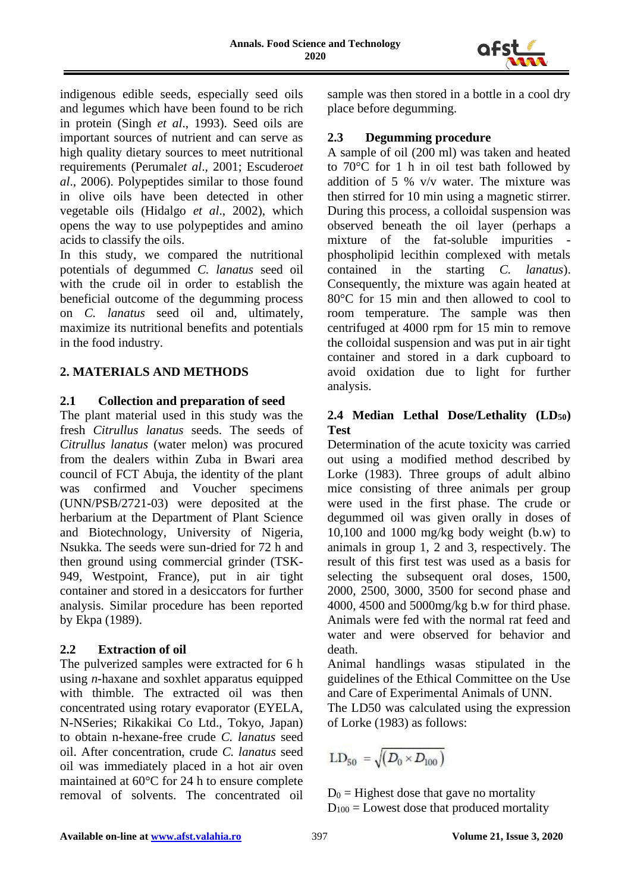

indigenous edible seeds, especially seed oils and legumes which have been found to be rich in protein (Singh *et al*., 1993). Seed oils are important sources of nutrient and can serve as high quality dietary sources to meet nutritional requirements (Perumal*et al*., 2001; Escudero*et al*., 2006). Polypeptides similar to those found in olive oils have been detected in other vegetable oils (Hidalgo *et al*., 2002), which opens the way to use polypeptides and amino acids to classify the oils.

In this study, we compared the nutritional potentials of degummed *C. lanatus* seed oil with the crude oil in order to establish the beneficial outcome of the degumming process on *C. lanatus* seed oil and, ultimately, maximize its nutritional benefits and potentials in the food industry.

### **2. MATERIALS AND METHODS**

### **2.1 Collection and preparation of seed**

The plant material used in this study was the fresh *Citrullus lanatus* seeds. The seeds of *Citrullus lanatus* (water melon) was procured from the dealers within Zuba in Bwari area council of FCT Abuja, the identity of the plant was confirmed and Voucher specimens (UNN/PSB/2721-03) were deposited at the herbarium at the Department of Plant Science and Biotechnology, University of Nigeria, Nsukka. The seeds were sun-dried for 72 h and then ground using commercial grinder (TSK-949, Westpoint, France), put in air tight container and stored in a desiccators for further analysis. Similar procedure has been reported by Ekpa (1989).

## **2.2 Extraction of oil**

The pulverized samples were extracted for 6 h using *n*-haxane and soxhlet apparatus equipped with thimble. The extracted oil was then concentrated using rotary evaporator (EYELA, N-NSeries; Rikakikai Co Ltd., Tokyo, Japan) to obtain n-hexane-free crude *C. lanatus* seed oil. After concentration, crude *C. lanatus* seed oil was immediately placed in a hot air oven maintained at 60°C for 24 h to ensure complete removal of solvents. The concentrated oil sample was then stored in a bottle in a cool dry place before degumming.

### **2.3 Degumming procedure**

A sample of oil (200 ml) was taken and heated to 70°C for 1 h in oil test bath followed by addition of 5 % v/v water. The mixture was then stirred for 10 min using a magnetic stirrer. During this process, a colloidal suspension was observed beneath the oil layer (perhaps a mixture of the fat-soluble impurities phospholipid lecithin complexed with metals contained in the starting *C. lanatus*). Consequently, the mixture was again heated at 80°C for 15 min and then allowed to cool to room temperature. The sample was then centrifuged at 4000 rpm for 15 min to remove the colloidal suspension and was put in air tight container and stored in a dark cupboard to avoid oxidation due to light for further analysis.

## **2.4 Median Lethal Dose/Lethality (LD50) Test**

Determination of the acute toxicity was carried out using a modified method described by Lorke (1983). Three groups of adult albino mice consisting of three animals per group were used in the first phase. The crude or degummed oil was given orally in doses of 10,100 and 1000 mg/kg body weight (b.w) to animals in group 1, 2 and 3, respectively. The result of this first test was used as a basis for selecting the subsequent oral doses, 1500, 2000, 2500, 3000, 3500 for second phase and 4000, 4500 and 5000mg/kg b.w for third phase. Animals were fed with the normal rat feed and water and were observed for behavior and death.

Animal handlings wasas stipulated in the guidelines of the Ethical Committee on the Use and Care of Experimental Animals of UNN.

The LD50 was calculated using the expression of Lorke (1983) as follows:

$$
\text{LD}_{50} = \sqrt{\left(D_0 \times D_{100}\right)}
$$

 $D_0$  = Highest dose that gave no mortality  $D_{100}$  = Lowest dose that produced mortality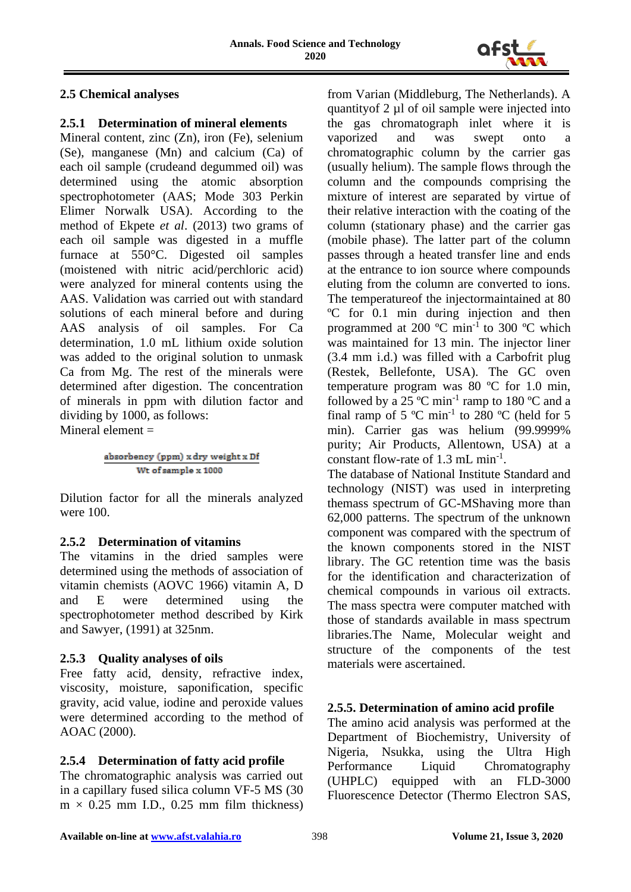

# **2.5 Chemical analyses**

## **2.5.1 Determination of mineral elements**

Mineral content, zinc (Zn), iron (Fe), selenium (Se), manganese (Mn) and calcium (Ca) of each oil sample (crudeand degummed oil) was determined using the atomic absorption spectrophotometer (AAS; Mode 303 Perkin Elimer Norwalk USA). According to the method of Ekpete *et al*. (2013) two grams of each oil sample was digested in a muffle furnace at 550°C. Digested oil samples (moistened with nitric acid/perchloric acid) were analyzed for mineral contents using the AAS. Validation was carried out with standard solutions of each mineral before and during AAS analysis of oil samples. For Ca determination, 1.0 mL lithium oxide solution was added to the original solution to unmask Ca from Mg. The rest of the minerals were determined after digestion. The concentration of minerals in ppm with dilution factor and dividing by 1000, as follows: Mineral element  $=$ 

$$
\frac{absorbency\ (ppm)\ x\ dry\ weight\ x\ Df}{Wt\ of\ sample\ x\ 1000}
$$

Dilution factor for all the minerals analyzed were 100.

## **2.5.2 Determination of vitamins**

The vitamins in the dried samples were determined using the methods of association of vitamin chemists (AOVC 1966) vitamin A, D and E were determined using the spectrophotometer method described by Kirk and Sawyer, (1991) at 325nm.

# **2.5.3 Quality analyses of oils**

Free fatty acid, density, refractive index, viscosity, moisture, saponification, specific gravity, acid value, iodine and peroxide values were determined according to the method of AOAC (2000).

# **2.5.4 Determination of fatty acid profile**

The chromatographic analysis was carried out in a capillary fused silica column VF-5 MS (30  $m \times 0.25$  mm I.D., 0.25 mm film thickness)

from Varian (Middleburg, The Netherlands). A quantityof 2 µl of oil sample were injected into the gas chromatograph inlet where it is vaporized and was swept onto a chromatographic column by the carrier gas (usually helium). The sample flows through the column and the compounds comprising the mixture of interest are separated by virtue of their relative interaction with the coating of the column (stationary phase) and the carrier gas (mobile phase). The latter part of the column passes through a heated transfer line and ends at the entrance to ion source where compounds eluting from the column are converted to ions. The temperatureof the injectormaintained at 80 ºC for 0.1 min during injection and then programmed at 200  $^{\circ}$ C min<sup>-1</sup> to 300  $^{\circ}$ C which was maintained for 13 min. The injector liner (3.4 mm i.d.) was filled with a Carbofrit plug (Restek, Bellefonte, USA). The GC oven temperature program was 80 ºC for 1.0 min, followed by a 25  $^{\circ}$ C min<sup>-1</sup> ramp to 180  $^{\circ}$ C and a final ramp of 5  $^{\circ}$ C min<sup>-1</sup> to 280  $^{\circ}$ C (held for 5 min). Carrier gas was helium (99.9999% purity; Air Products, Allentown, USA) at a constant flow-rate of 1.3 mL min<sup>-1</sup>.

The database of National Institute Standard and technology (NIST) was used in interpreting themass spectrum of GC-MShaving more than 62,000 patterns. The spectrum of the unknown component was compared with the spectrum of the known components stored in the NIST library. The GC retention time was the basis for the identification and characterization of chemical compounds in various oil extracts. The mass spectra were computer matched with those of standards available in mass spectrum libraries.The Name, Molecular weight and structure of the components of the test materials were ascertained.

# **2.5.5. Determination of amino acid profile**

The amino acid analysis was performed at the Department of Biochemistry, University of Nigeria, Nsukka, using the Ultra High Performance Liquid Chromatography (UHPLC) equipped with an FLD-3000 Fluorescence Detector (Thermo Electron SAS,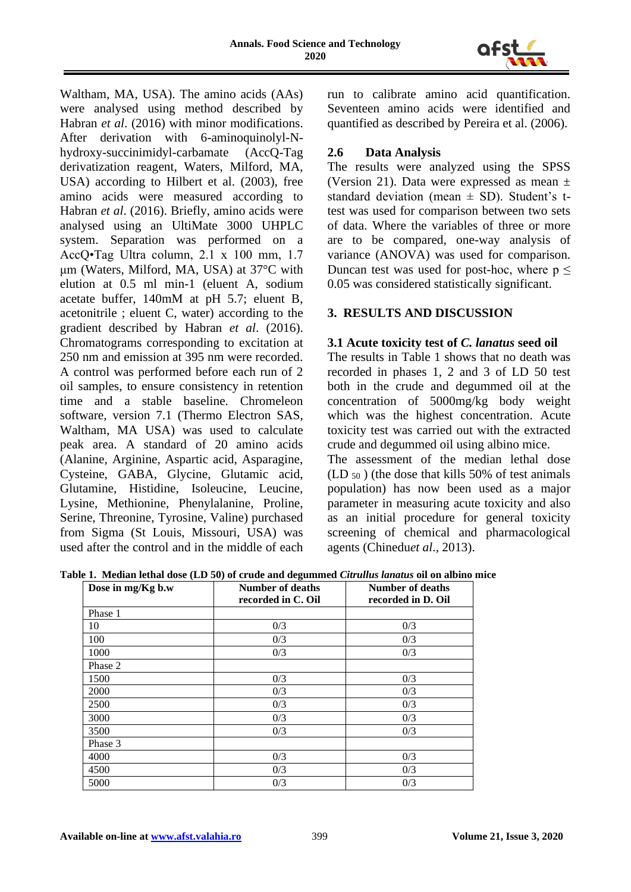

Waltham, MA, USA). The amino acids (AAs) were analysed using method described by Habran *et al*. (2016) with minor modifications. After derivation with 6-aminoquinolyl-Nhydroxy-succinimidyl-carbamate (AccQ-Tag derivatization reagent, Waters, Milford, MA, USA) according to Hilbert et al. (2003), free amino acids were measured according to Habran *et al*. (2016). Briefly, amino acids were analysed using an UltiMate 3000 UHPLC system. Separation was performed on a AccQ•Tag Ultra column, 2.1 x 100 mm, 1.7 μm (Waters, Milford, MA, USA) at 37°C with elution at 0.5 ml min-1 (eluent A, sodium acetate buffer, 140mM at pH 5.7; eluent B, acetonitrile ; eluent C, water) according to the gradient described by Habran *et al*. (2016). Chromatograms corresponding to excitation at 250 nm and emission at 395 nm were recorded. A control was performed before each run of 2 oil samples, to ensure consistency in retention time and a stable baseline. Chromeleon software, version 7.1 (Thermo Electron SAS, Waltham, MA USA) was used to calculate peak area. A standard of 20 amino acids (Alanine, Arginine, Aspartic acid, Asparagine, Cysteine, GABA, Glycine, Glutamic acid, Glutamine, Histidine, Isoleucine, Leucine, Lysine, Methionine, Phenylalanine, Proline, Serine, Threonine, Tyrosine, Valine) purchased from Sigma (St Louis, Missouri, USA) was used after the control and in the middle of each run to calibrate amino acid quantification. Seventeen amino acids were identified and quantified as described by Pereira et al. (2006).

### **2.6 Data Analysis**

The results were analyzed using the SPSS (Version 21). Data were expressed as mean  $\pm$ standard deviation (mean  $\pm$  SD). Student's ttest was used for comparison between two sets of data. Where the variables of three or more are to be compared, one-way analysis of variance (ANOVA) was used for comparison. Duncan test was used for post-hoc, where  $p \leq$ 0.05 was considered statistically significant.

## **3. RESULTS AND DISCUSSION**

#### **3.1 Acute toxicity test of** *C. lanatus* **seed oil**

The results in Table 1 shows that no death was recorded in phases 1, 2 and 3 of LD 50 test both in the crude and degummed oil at the concentration of 5000mg/kg body weight which was the highest concentration. Acute toxicity test was carried out with the extracted crude and degummed oil using albino mice.

The assessment of the median lethal dose  $(LD_{50})$  (the dose that kills 50% of test animals population) has now been used as a major parameter in measuring acute toxicity and also as an initial procedure for general toxicity screening of chemical and pharmacological agents (Chinedu*et al*., 2013).

**Table 1. Median lethal dose (LD 50) of crude and degummed** *Citrullus lanatus* **oil on albino mice**

| Dose in mg/Kg b.w | Number of deaths<br>recorded in C. Oil | Number of deaths<br>recorded in D. Oil |
|-------------------|----------------------------------------|----------------------------------------|
| Phase 1           |                                        |                                        |
| 10                | 0/3                                    | 0/3                                    |
| 100               | 0/3                                    | 0/3                                    |
| 1000              | 0/3                                    | 0/3                                    |
| Phase 2           |                                        |                                        |
| 1500              | 0/3                                    | 0/3                                    |
| 2000              | 0/3                                    | 0/3                                    |
| 2500              | 0/3                                    | 0/3                                    |
| 3000              | 0/3                                    | 0/3                                    |
| 3500              | 0/3                                    | 0/3                                    |
| Phase 3           |                                        |                                        |
| 4000              | 0/3                                    | 0/3                                    |
| 4500              | 0/3                                    | 0/3                                    |
| 5000              | 0/3                                    | 0/3                                    |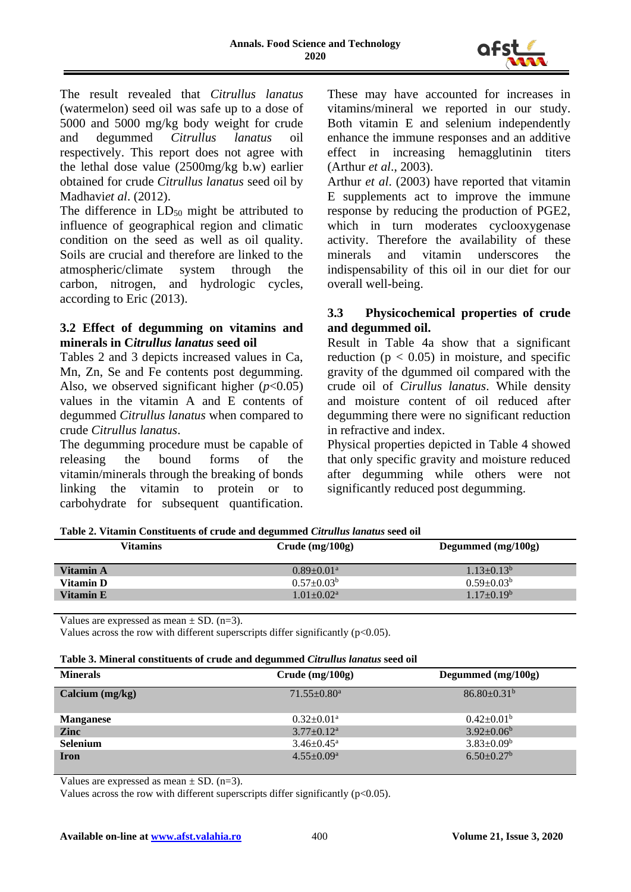

The result revealed that *Citrullus lanatus*  (watermelon) seed oil was safe up to a dose of 5000 and 5000 mg/kg body weight for crude and degummed *Citrullus lanatus* oil respectively. This report does not agree with the lethal dose value (2500mg/kg b.w) earlier obtained for crude *Citrullus lanatus* seed oil by Madhavi*et al*. (2012).

The difference in  $LD_{50}$  might be attributed to influence of geographical region and climatic condition on the seed as well as oil quality. Soils are crucial and therefore are linked to the atmospheric/climate system through the carbon, nitrogen, and hydrologic cycles, according to Eric (2013).

### **3.2 Effect of degumming on vitamins and minerals in C***itrullus lanatus* **seed oil**

Tables 2 and 3 depicts increased values in Ca, Mn, Zn, Se and Fe contents post degumming. Also, we observed significant higher  $(p<0.05)$ values in the vitamin A and E contents of degummed *Citrullus lanatus* when compared to crude *Citrullus lanatus*.

The degumming procedure must be capable of releasing the bound forms of the vitamin/minerals through the breaking of bonds linking the vitamin to protein or to carbohydrate for subsequent quantification.

These may have accounted for increases in vitamins/mineral we reported in our study. Both vitamin E and selenium independently enhance the immune responses and an additive effect in increasing hemagglutinin titers (Arthur *et al*., 2003).

Arthur *et al*. (2003) have reported that vitamin E supplements act to improve the immune response by reducing the production of PGE2, which in turn moderates cyclooxygenase activity. Therefore the availability of these minerals and vitamin underscores the indispensability of this oil in our diet for our overall well-being.

### **3.3 Physicochemical properties of crude and degummed oil.**

Result in Table 4a show that a significant reduction ( $p < 0.05$ ) in moisture, and specific gravity of the dgummed oil compared with the crude oil of *Cirullus lanatus*. While density and moisture content of oil reduced after degumming there were no significant reduction in refractive and index.

Physical properties depicted in Table 4 showed that only specific gravity and moisture reduced after degumming while others were not significantly reduced post degumming.

| Table 2. Vitamin Constituents of crude and degummed Citrullus lanatus seed oil |  |
|--------------------------------------------------------------------------------|--|
|--------------------------------------------------------------------------------|--|

| Vitamins         | $Crude$ (mg/100g)            | Degummed $(mg/100g)$ |  |
|------------------|------------------------------|----------------------|--|
| Vitamin A        | $0.89 \pm 0.01$ <sup>a</sup> | $1.13 \pm 0.13^b$    |  |
| Vitamin D        | $0.57+0.03b$                 | $0.59 \pm 0.03^b$    |  |
| <b>Vitamin E</b> | $1.01 \pm 0.02^a$            | $1.17 \pm 0.19^b$    |  |
|                  |                              |                      |  |

Values are expressed as mean  $\pm$  SD. (n=3).

Values across the row with different superscripts differ significantly ( $p<0.05$ ).

| Table 3. Mineral constituents of crude and degummed Citrullus lanatus seed oil |  |
|--------------------------------------------------------------------------------|--|
|--------------------------------------------------------------------------------|--|

| <b>Minerals</b>   | $Crude$ (mg/100g)             | Degummed $(mg/100g)$         |
|-------------------|-------------------------------|------------------------------|
| Calcium $(mg/kg)$ | $71.55 \pm 0.80$ <sup>a</sup> | $86.80 \pm 0.31^{\rm b}$     |
| <b>Manganese</b>  | $0.32 \pm 0.01$ <sup>a</sup>  | $0.42 \pm 0.01^b$            |
| <b>Zinc</b>       | $3.77 \pm 0.12^a$             | $3.92 \pm 0.06^b$            |
| <b>Selenium</b>   | $3.46 \pm 0.45^{\circ}$       | $3.83 \pm 0.09^b$            |
| <b>Iron</b>       | $4.55 \pm 0.09^{\mathrm{a}}$  | $6.50 \pm 0.27$ <sup>b</sup> |

Values are expressed as mean  $\pm$  SD. (n=3).

Values across the row with different superscripts differ significantly  $(p<0.05)$ .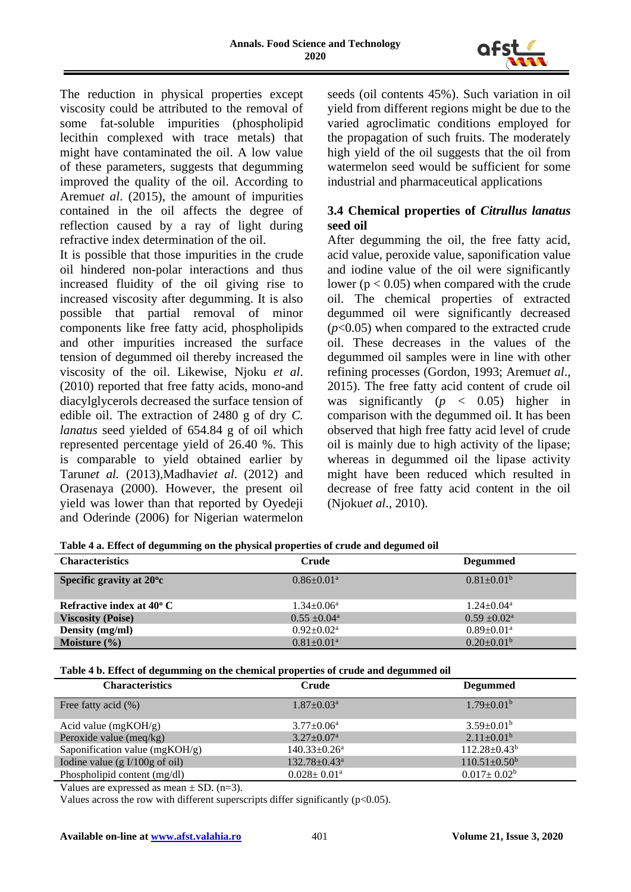

The reduction in physical properties except viscosity could be attributed to the removal of some fat-soluble impurities (phospholipid lecithin complexed with trace metals) that might have contaminated the oil. A low value of these parameters, suggests that degumming improved the quality of the oil. According to Aremu*et al*. (2015), the amount of impurities contained in the oil affects the degree of reflection caused by a ray of light during refractive index determination of the oil.

It is possible that those impurities in the crude oil hindered non-polar interactions and thus increased fluidity of the oil giving rise to increased viscosity after degumming. It is also possible that partial removal of minor components like free fatty acid, phospholipids and other impurities increased the surface tension of degummed oil thereby increased the viscosity of the oil. Likewise, Njoku *et al*. (2010) reported that free fatty acids, mono-and diacylglycerols decreased the surface tension of edible oil. The extraction of 2480 g of dry *C. lanatus* seed yielded of 654.84 g of oil which represented percentage yield of 26.40 %. This is comparable to yield obtained earlier by Tarun*et al.* (2013),Madhavi*et al*. (2012) and Orasenaya (2000). However, the present oil yield was lower than that reported by Oyedeji and Oderinde (2006) for Nigerian watermelon seeds (oil contents 45%). Such variation in oil yield from different regions might be due to the varied agroclimatic conditions employed for the propagation of such fruits. The moderately high yield of the oil suggests that the oil from watermelon seed would be sufficient for some industrial and pharmaceutical applications

### **3.4 Chemical properties of** *Citrullus lanatus*  **seed oil**

After degumming the oil, the free fatty acid, acid value, peroxide value, saponification value and iodine value of the oil were significantly lower ( $p < 0.05$ ) when compared with the crude oil. The chemical properties of extracted degummed oil were significantly decreased (*p*<0.05) when compared to the extracted crude oil. These decreases in the values of the degummed oil samples were in line with other refining processes (Gordon, 1993; Aremu*et al*., 2015). The free fatty acid content of crude oil was significantly (*p* < 0.05) higher in comparison with the degummed oil. It has been observed that high free fatty acid level of crude oil is mainly due to high activity of the lipase; whereas in degummed oil the lipase activity might have been reduced which resulted in decrease of free fatty acid content in the oil (Njoku*et al*., 2010).

|  |  |  | Table 4 a. Effect of degumming on the physical properties of crude and degumed oil |
|--|--|--|------------------------------------------------------------------------------------|
|  |  |  |                                                                                    |

| <b>Characteristics</b>             | Crude                        | <b>Degummed</b>              |
|------------------------------------|------------------------------|------------------------------|
| Specific gravity at $20^{\circ}$ c | $0.86 \pm 0.01$ <sup>a</sup> | $0.81 \pm 0.01^b$            |
| Refractive index at $40^{\circ}$ C | $1.34 \pm 0.06^a$            | $1.24 \pm 0.04^a$            |
| <b>Viscosity (Poise)</b>           | $0.55 \pm 0.04^{\text{a}}$   | $0.59 \pm 0.02^{\text{a}}$   |
| Density (mg/ml)                    | $0.92 \pm 0.02^a$            | $0.89 \pm 0.01$ <sup>a</sup> |
| Moisture $(\% )$                   | $0.81 \pm 0.01^a$            | $0.20 \pm 0.01^b$            |

#### **Table 4 b. Effect of degumming on the chemical properties of crude and degummed oil**

| <b>Characteristics</b>                   | Crude                          | <b>Degummed</b>           |
|------------------------------------------|--------------------------------|---------------------------|
| Free fatty acid $(\%)$                   | $1.87 \pm 0.03^{\text{a}}$     | $1.79 \pm 0.01^{\rm b}$   |
| Acid value $(mgKOH/g)$                   | $3.77 \pm 0.06^{\text{a}}$     | $3.59 \pm 0.01^{\rm b}$   |
| Peroxide value (meq/kg)                  | $3.27 \pm 0.07^{\text{a}}$     | $2.11 \pm 0.01^b$         |
| Saponification value (mgKOH/g)           | $140.33 \pm 0.26^a$            | $112.28 \pm 0.43^b$       |
| Iodine value $(g I/100g \text{ of oil})$ | $132.78 \pm 0.43$ <sup>a</sup> | $110.51 \pm 0.50^{\circ}$ |
| Phospholipid content (mg/dl)             | $0.028 \pm 0.01$ <sup>a</sup>  | $0.017 \pm 0.02^b$        |

Values are expressed as mean  $\pm$  SD. (n=3).

Values across the row with different superscripts differ significantly ( $p<0.05$ ).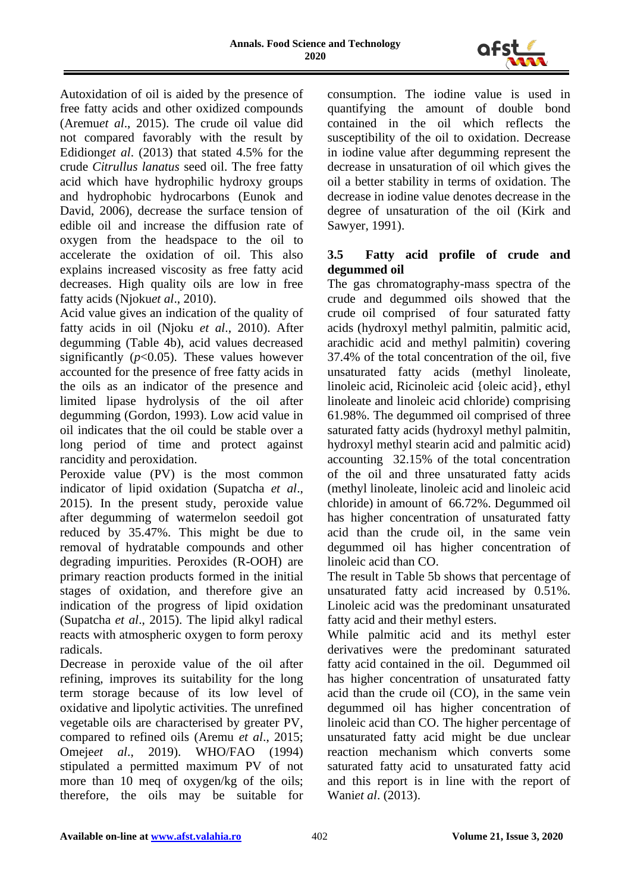

Autoxidation of oil is aided by the presence of free fatty acids and other oxidized compounds (Aremu*et al*., 2015). The crude oil value did not compared favorably with the result by Edidiong*et al*. (2013) that stated 4.5% for the crude *Citrullus lanatus* seed oil. The free fatty acid which have hydrophilic hydroxy groups and hydrophobic hydrocarbons (Eunok and David, 2006), decrease the surface tension of edible oil and increase the diffusion rate of oxygen from the headspace to the oil to accelerate the oxidation of oil. This also explains increased viscosity as free fatty acid decreases. High quality oils are low in free fatty acids (Njoku*et al*., 2010).

Acid value gives an indication of the quality of fatty acids in oil (Njoku *et al*., 2010). After degumming (Table 4b), acid values decreased significantly  $(p<0.05)$ . These values however accounted for the presence of free fatty acids in the oils as an indicator of the presence and limited lipase hydrolysis of the oil after degumming (Gordon, 1993). Low acid value in oil indicates that the oil could be stable over a long period of time and protect against rancidity and peroxidation.

Peroxide value (PV) is the most common indicator of lipid oxidation (Supatcha *et al*., 2015). In the present study, peroxide value after degumming of watermelon seedoil got reduced by 35.47%. This might be due to removal of hydratable compounds and other degrading impurities. Peroxides (R-OOH) are primary reaction products formed in the initial stages of oxidation, and therefore give an indication of the progress of lipid oxidation (Supatcha *et al*., 2015). The lipid alkyl radical reacts with atmospheric oxygen to form peroxy radicals.

Decrease in peroxide value of the oil after refining, improves its suitability for the long term storage because of its low level of oxidative and lipolytic activities. The unrefined vegetable oils are characterised by greater PV, compared to refined oils (Aremu *et al*., 2015; Omeje*et al*., 2019). WHO/FAO (1994) stipulated a permitted maximum PV of not more than 10 meq of oxygen/kg of the oils; therefore, the oils may be suitable for

consumption. The iodine value is used in quantifying the amount of double bond contained in the oil which reflects the susceptibility of the oil to oxidation. Decrease in iodine value after degumming represent the decrease in unsaturation of oil which gives the oil a better stability in terms of oxidation. The decrease in iodine value denotes decrease in the degree of unsaturation of the oil (Kirk and Sawyer, 1991).

# **3.5 Fatty acid profile of crude and degummed oil**

The gas chromatography-mass spectra of the crude and degummed oils showed that the crude oil comprised of four saturated fatty acids (hydroxyl methyl palmitin, palmitic acid, arachidic acid and methyl palmitin) covering 37.4% of the total concentration of the oil, five unsaturated fatty acids (methyl linoleate, linoleic acid, Ricinoleic acid {oleic acid}, ethyl linoleate and linoleic acid chloride) comprising 61.98%. The degummed oil comprised of three saturated fatty acids (hydroxyl methyl palmitin, hydroxyl methyl stearin acid and palmitic acid) accounting 32.15% of the total concentration of the oil and three unsaturated fatty acids (methyl linoleate, linoleic acid and linoleic acid chloride) in amount of 66.72%. Degummed oil has higher concentration of unsaturated fatty acid than the crude oil, in the same vein degummed oil has higher concentration of linoleic acid than CO.

The result in Table 5b shows that percentage of unsaturated fatty acid increased by 0.51%. Linoleic acid was the predominant unsaturated fatty acid and their methyl esters.

While palmitic acid and its methyl ester derivatives were the predominant saturated fatty acid contained in the oil. Degummed oil has higher concentration of unsaturated fatty acid than the crude oil (CO), in the same vein degummed oil has higher concentration of linoleic acid than CO. The higher percentage of unsaturated fatty acid might be due unclear reaction mechanism which converts some saturated fatty acid to unsaturated fatty acid and this report is in line with the report of Wani*et al*. (2013).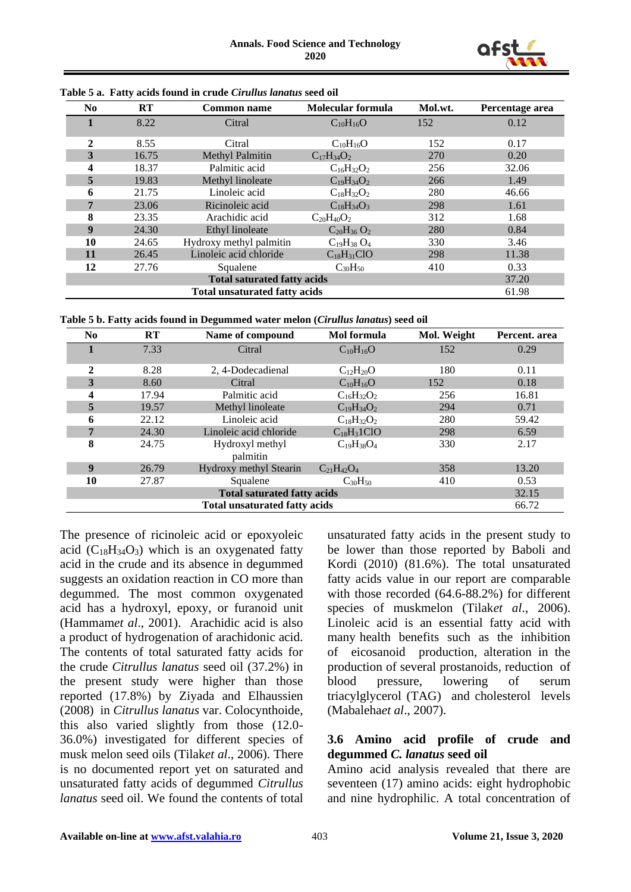

| N <sub>0</sub> | <b>RT</b>                          | <b>Common name</b>                   | Molecular formula | Mol.wt. | Percentage area |  |
|----------------|------------------------------------|--------------------------------------|-------------------|---------|-----------------|--|
|                | 8.22                               | Citral                               | $C_{10}H_{16}O$   | 152     | 0.12            |  |
|                |                                    |                                      |                   |         |                 |  |
| $\overline{2}$ | 8.55                               | Citral                               | $C_{10}H_{16}O$   | 152     | 0.17            |  |
| $\overline{3}$ | 16.75                              | Methyl Palmitin                      | $C_{17}H_{34}O_2$ | 270     | 0.20            |  |
| 4              | 18.37                              | Palmitic acid                        | $C_{16}H_{32}O_2$ | 256     | 32.06           |  |
| 5              | 19.83                              | Methyl linoleate                     | $C_{19}H_{34}O_2$ | 266     | 1.49            |  |
| 6              | 21.75                              | Linoleic acid                        | $C_{18}H_{32}O_2$ | 280     | 46.66           |  |
| 7              | 23.06                              | Ricinoleic acid                      | $C_{18}H_{34}O_3$ | 298     | 1.61            |  |
| 8              | 23.35                              | Arachidic acid                       | $C_{20}H_{40}O_2$ | 312     | 1.68            |  |
| 9              | 24.30                              | Ethyl linoleate                      | $C_{20}H_{36}O_2$ | 280     | 0.84            |  |
| 10             | 24.65                              | Hydroxy methyl palmitin              | $C_{19}H_{38}O_4$ | 330     | 3.46            |  |
| 11             | 26.45                              | Linoleic acid chloride               | $C_{18}H_{31}ClO$ | 298     | 11.38           |  |
| 12             | 27.76                              | Squalene                             | $C_{30}H_{50}$    | 410     | 0.33            |  |
|                | <b>Total saturated fatty acids</b> |                                      |                   |         |                 |  |
|                |                                    | <b>Total unsaturated fatty acids</b> |                   |         | 61.98           |  |

**Table 5 a. Fatty acids found in crude** *Cirullus lanatus* **seed oil**



| No.                                | RT                                   | Name of compound            | <b>Mol</b> formula | Mol. Weight | Percent. area |  |
|------------------------------------|--------------------------------------|-----------------------------|--------------------|-------------|---------------|--|
|                                    | 7.33                                 | Citral                      | $C_{10}H_{16}O$    | 152         | 0.29          |  |
| $\mathbf{2}$                       | 8.28                                 | 2, 4-Dodecadienal           | $C_{12}H_{20}O$    | 180         | 0.11          |  |
| 3                                  | 8.60                                 | Citral                      | $C_{10}H_{16}O$    | 152         | 0.18          |  |
| 4                                  | 17.94                                | Palmitic acid               | $C_{16}H_{32}O_2$  | 256         | 16.81         |  |
| 5                                  | 19.57                                | Methyl linoleate            | $C_{19}H_{34}O_2$  | 294         | 0.71          |  |
| 6                                  | 22.12                                | Linoleic acid               | $C_{18}H_{32}O_2$  | 280         | 59.42         |  |
| 7                                  | 24.30                                | Linoleic acid chloride      | $C_{18}H_31ClO$    | 298         | 6.59          |  |
| 8                                  | 24.75                                | Hydroxyl methyl<br>palmitin | $C_{19}H_{38}O_4$  | 330         | 2.17          |  |
| 9                                  | 26.79                                | Hydroxy methyl Stearin      | $C_{21}H_{42}O_4$  | 358         | 13.20         |  |
| 10                                 | 27.87                                | Squalene                    | $C_{30}H_{50}$     | 410         | 0.53          |  |
| <b>Total saturated fatty acids</b> |                                      |                             |                    |             | 32.15         |  |
|                                    | <b>Total unsaturated fatty acids</b> |                             |                    |             |               |  |

The presence of ricinoleic acid or epoxyoleic acid  $(C_{18}H_{34}O_3)$  which is an oxygenated fatty acid in the crude and its absence in degummed suggests an oxidation reaction in CO more than degummed. The most common oxygenated acid has a hydroxyl, epoxy, or furanoid unit (Hammam*et al*., 2001). Arachidic acid is also a product of hydrogenation of arachidonic acid. The contents of total saturated fatty acids for the crude *Citrullus lanatus* seed oil (37.2%) in the present study were higher than those reported (17.8%) by Ziyada and Elhaussien (2008) in *Citrullus lanatus* var. Colocynthoide, this also varied slightly from those (12.0- 36.0%) investigated for different species of musk melon seed oils (Tilak*et al*., 2006). There is no documented report yet on saturated and unsaturated fatty acids of degummed *Citrullus lanatus* seed oil. We found the contents of total

unsaturated fatty acids in the present study to be lower than those reported by Baboli and Kordi (2010) (81.6%). The total unsaturated fatty acids value in our report are comparable with those recorded (64.6-88.2%) for different species of muskmelon (Tilak*et al*., 2006). Linoleic acid is an essential fatty acid with many health benefits such as the inhibition of eicosanoid production, alteration in the production of several prostanoids, reduction of blood pressure, lowering of serum triacylglycerol (TAG) and cholesterol levels (Mabaleha*et al*., 2007).

#### **3.6 Amino acid profile of crude and degummed** *C. lanatus* **seed oil**

Amino acid analysis revealed that there are seventeen (17) amino acids: eight hydrophobic and nine hydrophilic. A total concentration of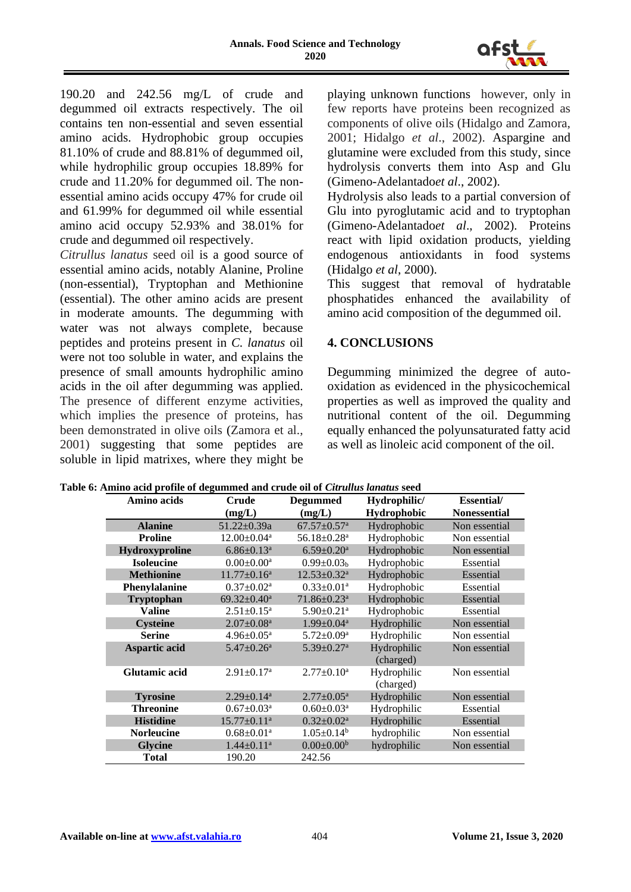

190.20 and 242.56 mg/L of crude and degummed oil extracts respectively. The oil contains ten non-essential and seven essential amino acids. Hydrophobic group occupies 81.10% of crude and 88.81% of degummed oil, while hydrophilic group occupies 18.89% for crude and 11.20% for degummed oil. The nonessential amino acids occupy 47% for crude oil and 61.99% for degummed oil while essential amino acid occupy 52.93% and 38.01% for crude and degummed oil respectively.

*Citrullus lanatus* seed oil is a good source of essential amino acids, notably Alanine, Proline (non-essential), Tryptophan and Methionine (essential). The other amino acids are present in moderate amounts. The degumming with water was not always complete, because peptides and proteins present in *C. lanatus* oil were not too soluble in water, and explains the presence of small amounts hydrophilic amino acids in the oil after degumming was applied. The presence of different enzyme activities, which implies the presence of proteins, has been demonstrated in olive oils (Zamora et al., 2001) suggesting that some peptides are soluble in lipid matrixes, where they might be

playing unknown functions however, only in few reports have proteins been recognized as components of olive oils (Hidalgo and Zamora, 2001; Hidalgo *et al*., 2002). Aspargine and glutamine were excluded from this study, since hydrolysis converts them into Asp and Glu (Gimeno-Adelantado*et al*., 2002).

Hydrolysis also leads to a partial conversion of Glu into pyroglutamic acid and to tryptophan (Gimeno-Adelantado*et al*., 2002). Proteins react with lipid oxidation products, yielding endogenous antioxidants in food systems (Hidalgo *et al*, 2000).

This suggest that removal of hydratable phosphatides enhanced the availability of amino acid composition of the degummed oil.

# **4. CONCLUSIONS**

Degumming minimized the degree of autooxidation as evidenced in the physicochemical properties as well as improved the quality and nutritional content of the oil. Degumming equally enhanced the polyunsaturated fatty acid as well as linoleic acid component of the oil.

| Amino acids          | <b>Crude</b>                  | <b>Degummed</b>               | Hydrophilic/             | <b>Essential</b> /  |
|----------------------|-------------------------------|-------------------------------|--------------------------|---------------------|
|                      | (mg/L)                        | (mg/L)                        | Hydrophobic              | <b>Nonessential</b> |
| <b>Alanine</b>       | $51.22 \pm 0.39a$             | $67.57 \pm 0.57$ <sup>a</sup> | Hydrophobic              | Non essential       |
| <b>Proline</b>       | $12.00 \pm 0.04$ <sup>a</sup> | 56.18±0.28 <sup>a</sup>       | Hydrophobic              | Non essential       |
| Hydroxyproline       | $6.86 \pm 0.13$ <sup>a</sup>  | $6.59 \pm 0.20$ <sup>a</sup>  | Hydrophobic              | Non essential       |
| <b>Isoleucine</b>    | $0.00 \pm 0.00^a$             | $0.99 \pm 0.03_b$             | Hydrophobic              | Essential           |
| <b>Methionine</b>    | $11.77 \pm 0.16^a$            | $12.53 \pm 0.32$ <sup>a</sup> | Hydrophobic              | Essential           |
| Phenylalanine        | $0.37 \pm 0.02^a$             | $0.33 \pm 0.01$ <sup>a</sup>  | Hydrophobic              | Essential           |
| <b>Tryptophan</b>    | $69.32 \pm 0.40^a$            | $71.86 \pm 0.23$ <sup>a</sup> | Hydrophobic              | Essential           |
| <b>Valine</b>        | $2.51 \pm 0.15^a$             | $5.90 \pm 0.21$ <sup>a</sup>  | Hydrophobic              | Essential           |
| <b>Cysteine</b>      | $2.07 \pm 0.08$ <sup>a</sup>  | $1.99 \pm 0.04^a$             | Hydrophilic              | Non essential       |
| <b>Serine</b>        | $4.96 \pm 0.05^{\text{a}}$    | $5.72 \pm 0.09^{\mathrm{a}}$  | Hydrophilic              | Non essential       |
| Aspartic acid        | $5.47 \pm 0.26$ <sup>a</sup>  | $5.39 \pm 0.27$ <sup>a</sup>  | Hydrophilic<br>(charged) | Non essential       |
| <b>Glutamic acid</b> | $2.91 \pm 0.17$ <sup>a</sup>  | $2.77 \pm 0.10^a$             | Hydrophilic<br>(charged) | Non essential       |
| <b>Tyrosine</b>      | $2.29 \pm 0.14$ <sup>a</sup>  | $2.77 \pm 0.05^{\text{a}}$    | Hydrophilic              | Non essential       |
| <b>Threonine</b>     | $0.67 \pm 0.03^a$             | $0.60 \pm 0.03^{\text{a}}$    | Hydrophilic              | Essential           |
| <b>Histidine</b>     | $15.77 \pm 0.11^a$            | $0.32 \pm 0.02^a$             | Hydrophilic              | Essential           |
| <b>Norleucine</b>    | $0.68 \pm 0.01$ <sup>a</sup>  | $1.05 \pm 0.14^b$             | hydrophilic              | Non essential       |
| <b>Glycine</b>       | $1.44 \pm 0.11^a$             | $0.00 \pm 0.00^b$             | hydrophilic              | Non essential       |
| <b>Total</b>         | 190.20                        | 242.56                        |                          |                     |

| Table 6: Amino acid profile of degummed and crude oil of Citrullus lanatus seed |  |  |
|---------------------------------------------------------------------------------|--|--|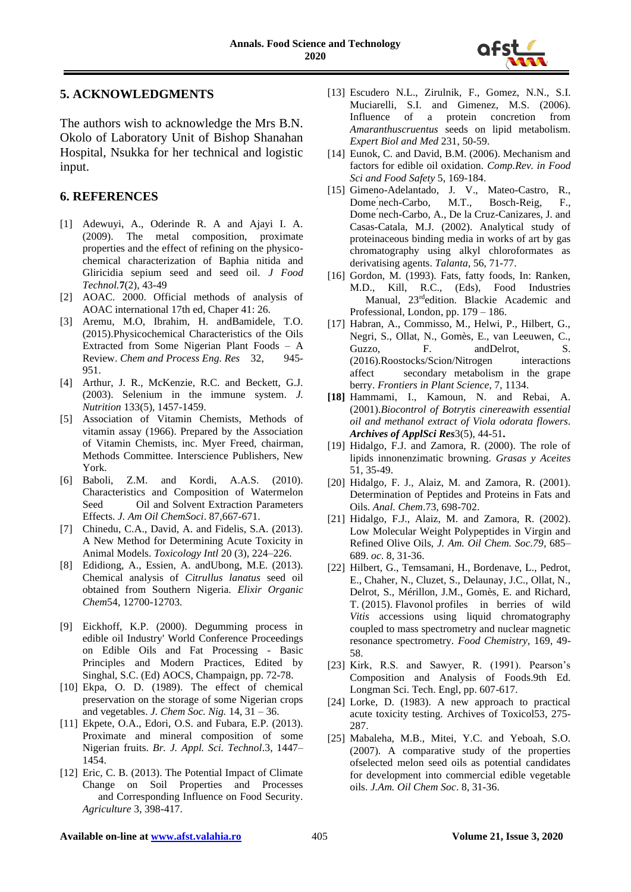

#### **5. ACKNOWLEDGMENTS**

The authors wish to acknowledge the Mrs B.N. Okolo of Laboratory Unit of Bishop Shanahan Hospital, Nsukka for her technical and logistic input.

#### **6. REFERENCES**

- [1] Adewuyi, A., Oderinde R. A and Ajayi I. A. (2009). The metal composition, proximate properties and the effect of refining on the physicochemical characterization of Baphia nitida and Gliricidia sepium seed and seed oil. *J Food Technol.***7**(2), 43-49
- [2] AOAC. 2000. Official methods of analysis of AOAC international 17th ed, Chaper 41: 26.
- [3] Aremu, M.O, Ibrahim, H. andBamidele, T.O. (2015).Physicochemical Characteristics of the Oils Extracted from Some Nigerian Plant Foods – A Review. *Chem and Process Eng. Res* 32, 945- 951.
- [4] Arthur, J. R., McKenzie, R.C. and Beckett, G.J. (2003). Selenium in the immune system. *J. Nutrition* 133(5), 1457-1459.
- [5] Association of Vitamin Chemists, Methods of vitamin assay (1966). Prepared by the Association of Vitamin Chemists, inc. Myer Freed, chairman, Methods Committee. Interscience Publishers, New York.
- [6] Baboli, Z.M. and Kordi, A.A.S. (2010). Characteristics and Composition of Watermelon Seed Oil and Solvent Extraction Parameters Effects. *J. Am Oil ChemSoci*. 87,667-671.
- [7] Chinedu, C.A., David, A. and Fidelis, S.A. (2013). A New Method for Determining Acute Toxicity in Animal Models. *Toxicology Intl* 20 (3), 224–226.
- [8] Edidiong, A., Essien, A. and Ubong, M.E. (2013). Chemical analysis of *Citrullus lanatus* seed oil obtained from Southern Nigeria. *Elixir Organic Chem*54, 12700-12703.
- [9] Eickhoff, K.P. (2000). Degumming process in edible oil Industry' World Conference Proceedings on Edible Oils and Fat Processing - Basic Principles and Modern Practices, Edited by Singhal, S.C. (Ed) AOCS, Champaign, pp. 72-78.
- [10] Ekpa, O. D. (1989). The effect of chemical preservation on the storage of some Nigerian crops and vegetables. *J. Chem Soc. Nig.* 14, 31 – 36.
- [11] Ekpete, O.A., Edori, O.S. and Fubara, E.P. (2013). Proximate and mineral composition of some Nigerian fruits. *Br. J. Appl. Sci. Technol*.3, 1447– 1454.
- [12] Eric, C. B. (2013). The Potential Impact of Climate Change on Soil Properties and Processes and Corresponding Influence on Food Security. *Agriculture* 3, 398-417.
- [13] Escudero N.L., Zirulnik, F., Gomez, N.N., S.I. Muciarelli, S.I. and Gimenez, M.S. (2006). Influence of a protein concretion from *Amaranthuscruentus* seeds on lipid metabolism. *Expert Biol and Med* 231, 50-59.
- [14] Eunok, C. and David, B.M. (2006). Mechanism and factors for edible oil oxidation. *Comp.Rev. in Food Sci and Food Safety* 5, 169-184.
- [15] Gimeno-Adelantado, J. V., Mateo-Castro, R., Dome'nech-Carbo, M.T., Bosch-Reig, F., Dome ́nech-Carbo, M.T., Bosch-Reig, F., Dome ́nech-Carbo, A., De la Cruz-Canizares, J. and Casas-Catala, M.J. (2002). Analytical study of proteinaceous binding media in works of art by gas chromatography using alkyl chloroformates as derivatising agents. *Talanta*, 56, 71-77.
- [16] Gordon, M. (1993). Fats, fatty foods, In: Ranken, M.D., Kill, R.C., (Eds), Food Industries Manual, 23rdedition. Blackie Academic and Professional, London, pp. 179 – 186.
- [17] Habran, A., Commisso, M., Helwi, P., Hilbert, G., Negri, S., Ollat, N., Gomès, E., van Leeuwen, C., Guzzo, F. andDelrot, S. (2016).Roostocks/Scion/Nitrogen interactions affect secondary metabolism in the grape berry. *Frontiers in Plant Science*, 7, 1134.
- **[18]** Hammami, I., Kamoun, N. and Rebai, A. (2001).*Biocontrol of Botrytis cinereawith essential oil and methanol extract of Viola odorata flowers. Archives of ApplSci Res*3(5), 44-51**.**
- [19] Hidalgo, F.J. and Zamora, R. (2000). The role of lipids innonenzimatic browning. *Grasas y Aceites* 51, 35-49.
- [20] Hidalgo, F. J., Alaiz, M. and Zamora, R. (2001). Determination of Peptides and Proteins in Fats and Oils. *Anal. Chem*.73, 698-702.
- [21] Hidalgo, F.J., Alaiz, M. and Zamora, R. (2002). Low Molecular Weight Polypeptides in Virgin and Refined Olive Oils, *J. Am. Oil Chem. Soc.79*, 685– 689. *oc*. 8, 31-36.
- [22] Hilbert, G., Temsamani, H., Bordenave, L., Pedrot, E., Chaher, N., Cluzet, S., Delaunay, J.C., Ollat, N., Delrot, S., Mérillon, J.M., Gomès, E. and Richard, T. (2015). Flavonol profiles in berries of wild *Vitis* accessions using liquid chromatography coupled to mass spectrometry and nuclear magnetic resonance spectrometry. *Food Chemistry*, 169, 49- 58.
- [23] Kirk, R.S. and Sawyer, R. (1991). Pearson's Composition and Analysis of Foods.9th Ed. Longman Sci. Tech. Engl, pp. 607-617.
- [24] Lorke, D. (1983). A new approach to practical acute toxicity testing. Archives of Toxicol53, 275- 287.
- [25] Mabaleha, M.B., Mitei, Y.C. and Yeboah, S.O. (2007). A comparative study of the properties ofselected melon seed oils as potential candidates for development into commercial edible vegetable oils. *J.Am. Oil Chem Soc*. 8, 31-36.